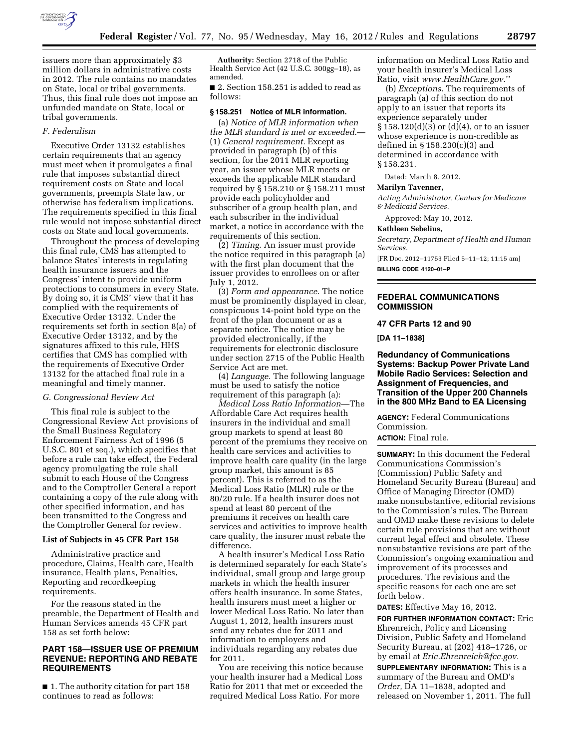

issuers more than approximately \$3 million dollars in administrative costs in 2012. The rule contains no mandates on State, local or tribal governments. Thus, this final rule does not impose an unfunded mandate on State, local or

#### *F. Federalism*

tribal governments.

Executive Order 13132 establishes certain requirements that an agency must meet when it promulgates a final rule that imposes substantial direct requirement costs on State and local governments, preempts State law, or otherwise has federalism implications. The requirements specified in this final rule would not impose substantial direct costs on State and local governments.

Throughout the process of developing this final rule, CMS has attempted to balance States' interests in regulating health insurance issuers and the Congress' intent to provide uniform protections to consumers in every State. By doing so, it is CMS' view that it has complied with the requirements of Executive Order 13132. Under the requirements set forth in section 8(a) of Executive Order 13132, and by the signatures affixed to this rule, HHS certifies that CMS has complied with the requirements of Executive Order 13132 for the attached final rule in a meaningful and timely manner.

#### *G. Congressional Review Act*

This final rule is subject to the Congressional Review Act provisions of the Small Business Regulatory Enforcement Fairness Act of 1996 (5 U.S.C. 801 et seq.), which specifies that before a rule can take effect, the Federal agency promulgating the rule shall submit to each House of the Congress and to the Comptroller General a report containing a copy of the rule along with other specified information, and has been transmitted to the Congress and the Comptroller General for review.

#### **List of Subjects in 45 CFR Part 158**

Administrative practice and procedure, Claims, Health care, Health insurance, Health plans, Penalties, Reporting and recordkeeping requirements.

For the reasons stated in the preamble, the Department of Health and Human Services amends 45 CFR part 158 as set forth below:

# **PART 158—ISSUER USE OF PREMIUM REVENUE: REPORTING AND REBATE REQUIREMENTS**

■ 1. The authority citation for part 158 continues to read as follows:

**Authority:** Section 2718 of the Public Health Service Act (42 U.S.C. 300gg–18), as amended.

■ 2. Section 158.251 is added to read as follows:

# **§ 158.251 Notice of MLR information.**

(a) *Notice of MLR information when the MLR standard is met or exceeded.*— (1) *General requirement.* Except as provided in paragraph (b) of this section, for the 2011 MLR reporting year, an issuer whose MLR meets or exceeds the applicable MLR standard required by § 158.210 or § 158.211 must provide each policyholder and subscriber of a group health plan, and each subscriber in the individual market, a notice in accordance with the requirements of this section.

(2) *Timing.* An issuer must provide the notice required in this paragraph (a) with the first plan document that the issuer provides to enrollees on or after July 1, 2012.

(3) *Form and appearance.* The notice must be prominently displayed in clear, conspicuous 14-point bold type on the front of the plan document or as a separate notice. The notice may be provided electronically, if the requirements for electronic disclosure under section 2715 of the Public Health Service Act are met.

(4) *Language.* The following language must be used to satisfy the notice requirement of this paragraph (a):

*Medical Loss Ratio Information*—The Affordable Care Act requires health insurers in the individual and small group markets to spend at least 80 percent of the premiums they receive on health care services and activities to improve health care quality (in the large group market, this amount is 85 percent). This is referred to as the Medical Loss Ratio (MLR) rule or the 80/20 rule. If a health insurer does not spend at least 80 percent of the premiums it receives on health care services and activities to improve health care quality, the insurer must rebate the difference.

A health insurer's Medical Loss Ratio is determined separately for each State's individual, small group and large group markets in which the health insurer offers health insurance. In some States, health insurers must meet a higher or lower Medical Loss Ratio. No later than August 1, 2012, health insurers must send any rebates due for 2011 and information to employers and individuals regarding any rebates due for 2011.

You are receiving this notice because your health insurer had a Medical Loss Ratio for 2011 that met or exceeded the required Medical Loss Ratio. For more

information on Medical Loss Ratio and your health insurer's Medical Loss Ratio, visit *[www.HealthCare.gov](http://www.HealthCare.gov)*.''

(b) *Exceptions.* The requirements of paragraph (a) of this section do not apply to an issuer that reports its experience separately under § 158.120(d)(3) or (d)(4), or to an issuer whose experience is non-credible as defined in § 158.230(c)(3) and determined in accordance with § 158.231.

Dated: March 8, 2012.

### **Marilyn Tavenner,**

*Acting Administrator, Centers for Medicare & Medicaid Services.* 

Approved: May 10, 2012.

#### **Kathleen Sebelius,**

*Secretary, Department of Health and Human Services.* 

[FR Doc. 2012–11753 Filed 5–11–12; 11:15 am] **BILLING CODE 4120–01–P** 

**FEDERAL COMMUNICATIONS COMMISSION** 

#### **47 CFR Parts 12 and 90**

**[DA 11–1838]** 

**Redundancy of Communications Systems: Backup Power Private Land Mobile Radio Services: Selection and Assignment of Frequencies, and Transition of the Upper 200 Channels in the 800 MHz Band to EA Licensing** 

**AGENCY:** Federal Communications Commission.

# **ACTION:** Final rule.

**SUMMARY:** In this document the Federal Communications Commission's (Commission) Public Safety and Homeland Security Bureau (Bureau) and Office of Managing Director (OMD) make nonsubstantive, editorial revisions to the Commission's rules. The Bureau and OMD make these revisions to delete certain rule provisions that are without current legal effect and obsolete. These nonsubstantive revisions are part of the Commission's ongoing examination and improvement of its processes and procedures. The revisions and the specific reasons for each one are set forth below.

**DATES:** Effective May 16, 2012.

**FOR FURTHER INFORMATION CONTACT:** Eric Ehrenreich, Policy and Licensing Division, Public Safety and Homeland Security Bureau, at (202) 418–1726, or by email at *[Eric.Ehrenreich@fcc.gov.](mailto:Eric.Ehrenreich@fcc.gov)* 

**SUPPLEMENTARY INFORMATION:** This is a summary of the Bureau and OMD's *Order,* DA 11–1838, adopted and released on November 1, 2011. The full